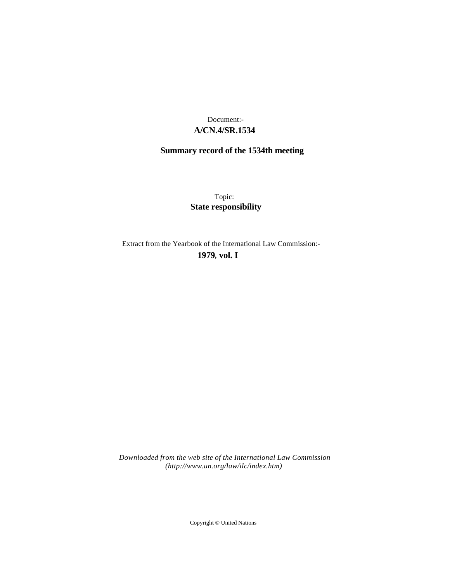## **A/CN.4/SR.1534** Document:-

# **Summary record of the 1534th meeting**

Topic: **State responsibility**

Extract from the Yearbook of the International Law Commission:-

**1979** , **vol. I**

*Downloaded from the web site of the International Law Commission (http://www.un.org/law/ilc/index.htm)*

Copyright © United Nations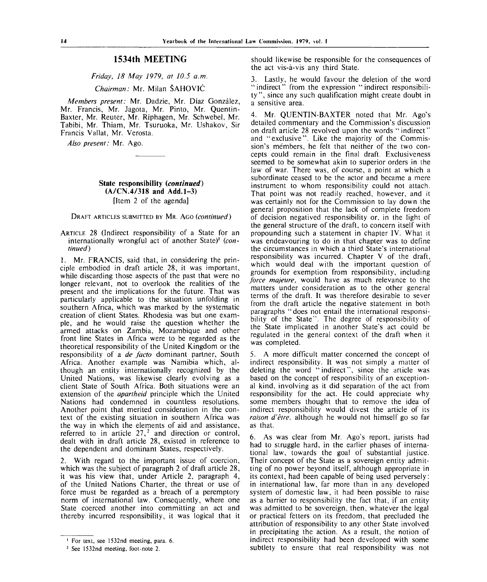## **1534th MEETING**

## *Friday, 18 May 1979, at 10.5 a.m.*

#### *Chairman:* Mr. Milan SAHOVIC

*Members present:* Mr. Dadzie, Mr. Diaz Gonzalez, Mr. Francis, Mr. Jagota, Mr. Pinto, Mr. Quentin-Baxter, Mr. Reuter, Mr. Riphagen, Mr. Schwebel, Mr. Tabibi, Mr. Thiam, Mr. Tsuruoka, Mr. Ushakov, Sir Francis Vallat, Mr. Verosta.

*Also present:* Mr. Ago.

## **State responsibility** *(continued)* **(A/CN.4/318 and Add.1-3)** [Item 2 of the agenda]

DRAFT ARTICLES SUBMITTED BY MR. AGO *(continued)*

ARTICLE 28 (Indirect responsibility of a State for an internationally wrongful act of another State)<sup>1</sup> (con*tinued)*

1. Mr. FRANCIS, said that, in considering the principle embodied in draft article 28, it was important, while discarding those aspects of the past that were no longer relevant, not to overlook the realities of the present and the implications for the future. That was particularly applicable to the situation unfolding in southern Africa, which was marked by the systematic creation of client States. Rhodesia was but one example, and he would raise the question whether the armed attacks on Zambia, Mozambique and other front line States in Africa were to be regarded as the theoretical responsibility of the United Kingdom or the responsibility of a *de facto* dominant partner, South Africa. Another example was Namibia which, although an entity internationally recognized by the United Nations, was likewise clearly evolving as a client State of South Africa. Both situations were an extension of the *apartheid* principle which the United Nations had condemned in countless resolutions. Another point that merited consideration in the context of the existing situation in southern Africa was the way in which the elements of aid and assistance, referred to in article  $27<sup>2</sup>$  and direction or control, dealt with in draft article 28, existed in reference to the dependent and dominant States, respectively.

2. With regard to the important issue of coercion, which was the subject of paragraph 2 of draft article 28, it was his view that, under Article 2, paragraph 4, of the United Nations Charter, the threat or use of force must be regarded as a breach of a peremptory norm of international law. Consequently, where one State coerced another into committing an act and thereby incurred responsibility, it was logical that it should likewise be responsible for the consequences of the act vis-a-vis any third State.

3. Lastly, he would favour the deletion of the word "indirect" from the expression "indirect responsibility", since any such qualification might create doubt in a sensitive area.

4. Mr. QUENTIN-BAXTER noted that Mr. Ago's detailed commentary and the Commission's discussion on draft article 28 revolved upon the words "indirect" and "exclusive". Like the majority of the Commission's members, he felt that neither of the two concepts could remain in the final draft. Exclusiveness seemed to be somewhat akin to superior orders in the law of war. There was, of course, a point at which a subordinate ceased to be the actor and became a mere instrument to whom responsibility could not attach. That point was not readily reached, however, and it was certainly not for the Commission to lay down the general proposition that the lack of complete freedom of decision negatived responsibility or, in the light of the general structure of the draft, to concern itself with propounding such a statement in chapter IV. What it was endeavouring to do in that chapter was to define the circumstances in which a third State's international responsibility was incurred. Chapter V of the draft, which would deal with the important question of grounds for exemption from responsibility, including *force majeure,* would have as much relevance to the matters under consideration as to the other general terms of the draft. It was therefore desirable to sever from the draft article the negative statement in both paragraphs "does not entail the international responsibility of the State". The degree of responsibility of the State implicated in another State's act could be regulated in the general context of the draft when it was completed.

5. A more difficult matter concerned the concept of indirect responsibility. It was not simply a matter of deleting the word "indirect", since the article was based on the concept of responsibility of an exceptional kind, involving as it did separation of the act from responsibility for the act. He could appreciate why some members thought that to remove the idea of indirect responsibility would divest the article of its *raison d'etre,* although he would not himself go so far as that.

6. As was clear from Mr. Ago's report, jurists had had to struggle hard, in the earlier phases of international law, towards the goal of substantial justice. Their concept of the State as a sovereign entity admitting of no power beyond itself, although appropriate in its context, had been capable of being used perversely: in international law, far more than in any developed system of domestic law, it had been possible to raise as a barrier to responsibility the fact that, if an entity was admitted to be sovereign, then, whatever the legal or practical fetters on its freedom, that precluded the attribution of responsibility to any other State involved in precipitating the action. As a result, the notion of indirect responsibility had been developed with some subtlety to ensure that real responsibility was not

<sup>&</sup>lt;sup>1</sup> For text, see 1532nd meeting, para. 6.

<sup>&</sup>lt;sup>2</sup> See 1532nd meeting, foot-note 2.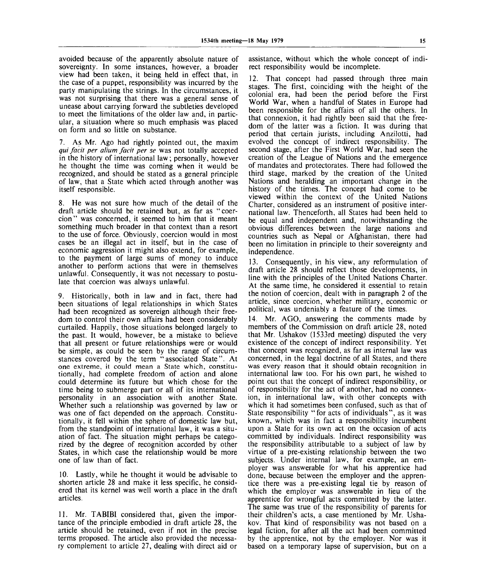avoided because of the apparently absolute nature of sovereignty. In some instances, however, a broader view had been taken, it being held in effect that, in the case of a puppet, responsibility was incurred by the party manipulating the strings. In the circumstances, it was not surprising that there was a general sense of unease about carrying forward the subtleties developed to meet the limitations of the older law and, in particular, a situation where so much emphasis was placed on form and so little on substance.

7. As Mr. Ago had rightly pointed out, the maxim *qui facit per alium facit per se* was not totally accepted in the history of international law; personally, however he thought the time was coming when it would be recognized, and should be stated as a general principle of law, that a State which acted through another was itself responsible.

8. He was not sure how much of the detail of the draft article should be retained but, as far as "coercion" was concerned, it seemed to him that it meant something much broader in that context than a resort to the use of force. Obviously, coercion would in most cases be an illegal act in itself, but in the case of economic aggression it might also extend, for example, to the payment of large sums of money to induce another to perform actions that were in themselves unlawful. Consequently, it was not necessary to postulate that coercion was always unlawful.

9. Historically, both in law and in fact, there had been situations of legal relationships in which States had been recognized as sovereign although their freedom to control their own affairs had been considerably curtailed. Happily, those situations belonged largely to the past. It would, however, be a mistake to believe that all present or future relationships were or would be simple, as could be seen by the range of circumstances covered by the term "associated State". At one extreme, it could mean a State which, constitutionally, had complete freedom of action and alone could determine its future but which chose for the time being to submerge part or all of its international personality in an association with another State. Whether such a relationship was governed by law or was one of fact depended on the approach. Constitutionally, it fell within the sphere of domestic law but, from the standpoint of international law, it was a situation of fact. The situation might perhaps be categorized by the degree of recognition accorded by other States, in which case the relationship would be more one of law than of fact.

10. Lastly, while he thought it would be advisable to shorten article 28 and make it less specific, he considered that its kernel was well worth a place in the draft articles.

11. Mr. TABIBI considered that, given the importance of the principle embodied in draft article 28, the article should be retained, even if not in the precise terms proposed. The article also provided the necessary complement to article 27, dealing with direct aid or

assistance, without which the whole concept of indirect responsibility would be incomplete.

12. That concept had passed through three main stages. The first, coinciding with the height of the colonial era, had been the period before the First World War, when a handful of States in Europe had been responsible for the affairs of all the others. In that connexion, it had rightly been said that the freedom of the latter was a fiction. It was during that period that certain jurists, including Anzilotti, had evolved the concept of indirect responsibility. The second stage, after the First World War, had seen the creation of the League of Nations and the emergence of mandates and protectorates. There had followed the third stage, marked by the creation of the United Nations and heralding an important change in the history of the times. The concept had come to be viewed within the context of the United Nations Charter, considered as an instrument of positive international law. Thenceforth, all States had been held to be equal and independent and, notwithstanding the obvious differences between the large nations and countries such as Nepal or Afghanistan, there had been no limitation in principle to their sovereignty and independence.

13. Consequently, in his view, any reformulation of draft article 28 should reflect those developments, in line with the principles of the United Nations Charter. At the same time, he considered it essential to retain the notion of coercion, dealt with in paragraph 2 of the article, since coercion, whether military, economic or political, was undeniably a feature of the times.

14. Mr. AGO, answering the comments made by members of the Commission on draft article 28, noted that Mr. Ushakov (1533rd meeting) disputed the very existence of the concept of indirect responsibility. Yet that concept was recognized, as far as internal law was concerned, in the legal doctrine of all States, and there was every reason that it should obtain recognition in international law too. For his own part, he wished to point out that the concept of indirect responsibility, or of responsibility for the act of another, had no connexion, in international law, with other concepts with which it had sometimes been confused, such as that of State responsibility "for acts of individuals", as it was known, which was in fact a responsibility incumbent upon a State for its own act on the occasion of acts committed by individuals. Indirect responsibility was the responsibility attributable to a subject of law by virtue of a pre-existing relationship between the two subjects. Under internal law, for example, an employer was answerable for what his apprentice had done, because between the employer and the apprentice there was a pre-existing legal tie by reason of which the employer was answerable in lieu of the apprentice for wrongful acts committed by the latter. The same was true of the responsibility of parents for their children's acts, a case mentioned by Mr. Ushakov. That kind of responsibility was not based on a legal fiction, for after all the act had been committed by the apprentice, not by the employer. Nor was it based on a temporary lapse of supervision, but on a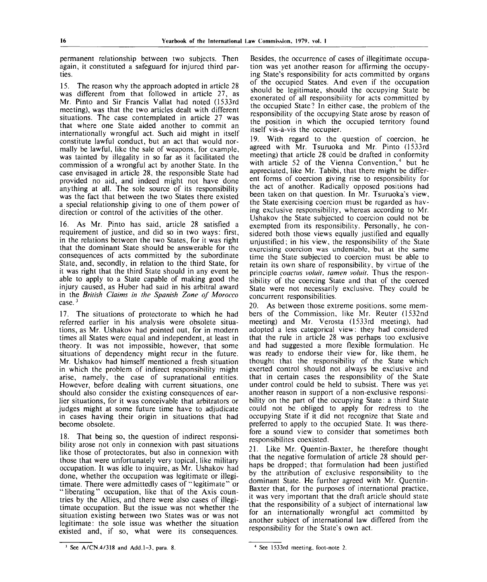permanent relationship between two subjects. Then again, it constituted a safeguard for injured third parties.

15. The reason why the approach adopted in article 28 was different from that followed in article 27, as Mr. Pinto and Sir Francis Vallat had noted (1533rd meeting), was that the two articles dealt with different situations. The case contemplated in article 27 was that where one State aided another to commit an internationally wrongful act. Such aid might in itself constitute lawful conduct, but an act that would normally be lawful, like the sale of weapons, for example, was tainted by illegality in so far as it facilitated the commission of a wrongful act by another State. In the case envisaged in article 28, the responsible State had provided no aid, and indeed might not have done anything at all. The sole source of its responsibility was the fact that between the two States there existed a special relationship giving to one of them power of direction or control of the activities of the other.

16. As Mr. Pinto has said, article 28 satisfied a requirement of justice, and did so in two ways: first, in the relations between the two States, for it was right that the dominant State should be answerable for the consequences of acts committed by the subordinate State, and, secondly, in relation to the third State, for it was right that the third State should in any event be able to apply to a State capable of making good the injury caused, as Huber had said in his arbitral award in the *British Claims in the Spanish Zone of Morocco* case.<sup>3</sup>

17. The situations of protectorate to which he had referred earlier in his analysis were obsolete situations, as Mr. Ushakov had pointed out, for in modern times all States were equal and independent, at least in theory. It was not impossible, however, that some situations of dependency might recur in the future. Mr. Ushakov had himself mentioned a fresh situation in which the problem of indirect responsibility might arise, namely, the case of supranational entities. However, before dealing with current situations, one should also consider the existing consequences of earlier situations, for it was conceivable that arbitrators or judges might at some future time have to adjudicate in cases having their origin in situations that had become obsolete.

18. That being so, the question of indirect responsibility arose not only in connexion with past situations like those of protectorates, but also in connexion with those that were unfortunately very topical, like military occupation. It was idle to inquire, as Mr. Ushakov had done, whether the occupation was legitimate or illegitimate. There were admittedly cases of "legitimate" or "liberating" occupation, like that of the Axis countries by the Allies, and there were also cases of illegitimate occupation. But the issue was not whether the situation existing between two States was or was not legitimate: the sole issue was whether the situation existed and, if so, what were its consequences.

Besides, the occurrence of cases of illegitimate occupation was yet another reason for affirming the occupying State's responsibility for acts committed by organs of the occupied States. And even if the occupation should be legitimate, should the occupying State be exonerated of all responsibility for acts committed by the occupied State? In either case, the problem of the responsibility of the occupying State arose by reason of the position in which the occupied territory found itself vis-a-vis the occupier.

19. With regard to the question of coercion, he agreed with Mr. Tsuruoka and Mr. Pinto (1533rd meeting) that article 28 could be drafted in conformity with article 52 of the Vienna Convention,<sup>4</sup> but he appreciated, like Mr. Tabibi, that there might be different forms of coercion giving rise to responsibility for the act of another. Radically opposed positions had been taken on that question. In Mr. Tsuruoka's view, the State exercising coercion must be regarded as having exclusive responsibility, whereas according to Mr. Ushakov the State subjected to coercion could not be exempted from its responsibility. Personally, he considered both those views equally justified and equally unjustified; in his view, the responsibility of the State exercising coercion was undeniable, but at the same time the State subjected to coercion must be able to retain its own share of responsibility, by virtue of the principle *coactus voluit, tamen voluit.* Thus the responsibility of the coercing State and that of the coerced State were not necessarily exclusive. They could be concurrent responsibilities.

20. As between those extreme positions, some members of the Commission, like Mr. Reuter (1532nd meeting) and Mr. Verosta (1533rd meeting), had adopted a less categorical view: they had considered that the rule in article 28 was perhaps too exclusive and had suggested a more flexible formulation. He was ready to endorse their view for, like them, he thought that the responsibility of the State which exerted control should not always be exclusive and that in certain cases the responsibility of the State under control could be held to subsist. There was yet another reason in support of a non-exclusive responsibility on the part of the occupying State: a third State could not be obliged to apply for redress to the occupying State if it did not recognize that State and preferred to apply to the occupied State. It was therefore a sound view to consider that sometimes both responsibilites coexisted.

21. Like Mr. Quentin-Baxter, he therefore thought that the negative formulation of article 28 should perhaps be dropped; that formulation had been justified by the attribution of exclusive responsibility to the dominant State. He further agreed with Mr. Quentin-Baxter that, for the purposes of international practice, it was very important that the draft article should state that the responsibility of a subject of international law for an internationally wrongful act committed by another subject of international law differed from the responsibility for the State's own act.

**See A/CN.4/318 and Add. 1-3,** para. 8.

<sup>4</sup> See 1533rd meeting, foot-note 2.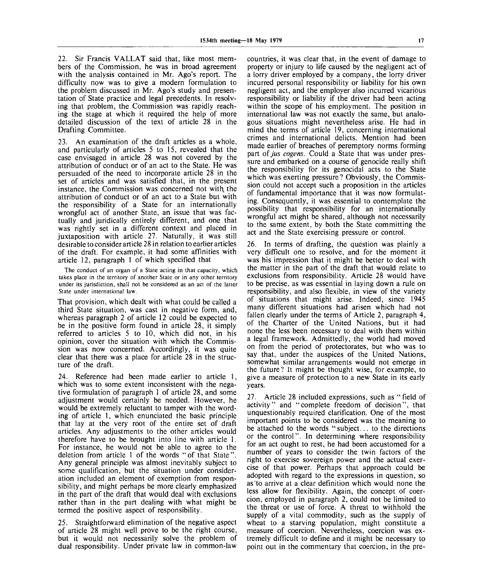22. Sir Francis VALLAT said that, like most members of the Commission, he was in broad agreement with the analysis contained in Mr. Ago's report. The difficulty now was to give a modern formulation to the problem discussed in Mr. Ago's study and presentation of State practice and legal precedents. In resolving that problem, the Commission was rapidly reaching the stage at which it required the help of more detailed discussion of the text of article 28 in the Drafting Committee.

23. An examination of the draft articles as a whole, and particularly of articles 5 to 15, revealed that the case envisaged in article 28 was not covered by the attribution of conduct or of an act to the State. He was persuaded of the need to incorporate article 28 in the set of articles and was satisfied that, in the present instance, the Commission was concerned not with the attribution of conduct or of an act to a State but with the responsibility of a State for an internationally wrongful act of another State, an issue that was factually and juridically entirely different, and one that was rightly set in a different context and placed in juxtaposition with article 27. Naturally, it was still desirable to consider article 28 in relation to earlier articles of the draft. For example, it had some affinities with article 12, paragraph 1 of which specified that

The conduct of an organ of a State acting in that capacity, which takes place in the territory of another State or in any other territory under its jurisdiction, shall not be considered as an act of the latter State under international law.

That provision, which dealt with what could be called a third State situation, was cast in negative form, and, whereas paragraph 2 of article 12 could be expected to be in the positive form found in article 28, it simply referred to articles 5 to 10, which did not, in his opinion, cover the situation with which the Commission was now concerned. Accordingly, it was quite clear that there was a place for article 28 in the structure of the draft.

24. Reference had been made earlier to article 1, which was to some extent inconsistent with the negative formulation of paragraph 1 of article 28, and some adjustment would certainly be needed. However, he would be extremely reluctant to tamper with the wording of article 1, which enunciated the basic principle that lay at the very root of the entire set of draft articles. Any adjustments to the other articles would therefore have to be brought into line with article 1. For instance, he would not be able to agree to the deletion from article 1 of the words "of that State". Any general principle was almost inevitably subject to some qualification, but the situation under consideration included an element of exemption from responsibility, and might perhaps be more clearly emphasized in the part of the draft that would deal with exclusions rather than in the part dealing with what might be termed the positive aspect of responsibility.

25. Straightforward elimination of the negative aspect of article 28 might well prove to be the right course, but it would not necessarily solve the problem of dual responsibility. Under private law in common-law

countries, it was clear that, in the event of damage to property or injury to life caused by the negligent act of a lorry driver employed\* by a company, the lorry driver incurred personal responsibility or liability for his own negligent act, and the employer also incurred vicarious responsibility or liability if the driver had been acting within the scope of his employment. The position in international law was not exactly the same, but analogous situations might nevertheless arise. He had in mind the terms of article 19, concerning international crimes and international delicts. Mention had been made earlier of breaches of peremptory norms forming part *of jus cogens.* Could a State that was under pressure and embarked on a course of genocide really shift the responsibility for its genocidal acts to the State which was exerting pressure? Obviously, the Commission could not accept such a proposition in the articles of fundamental importance that it was now formulating. Consequently, it was essential to contemplate the possibility that responsibility for an internationally wrongful act might be shared, although not necessarily to the same extent, by both the State committing the act and the State exercising pressure or control.

26. In terms of drafting, the question was plainly a very difficult one to resolve, and for the moment it was his impression that it might be better to deal with the matter in the part of the draft that would relate to exclusions from responsibility. Article 28 would have to be precise, as was essential in laying down a rule on responsibility, and also flexible, in view of the variety of situations that might arise. Indeed, since 1945 many different situations had arisen which had not fallen clearly under the terms of Article 2, paragraph 4, of the Charter of the United Nations, but it had none the less been necessary to deal with them within a legal framework. Admittedly, the world had moved on from the period of protectorates, but who was to say that, under the auspices of the United Nations, somewhat similar arrangements would not emerge in the future? It might be thought wise, for example, to give a measure of protection to a new State in its early years.

27. Article 28 included expressions, such as " field of activity" and "complete freedom of decision", that unquestionably required clarification. One of the most important points to be considered was the meaning to be attached to the words "subject... to the directions or the control". In determining where responsibility for an act ought to rest, he had been accustomed for a number of years to consider the twin factors of the right to exercise sovereign power and the actual exercise of that power. Perhaps that approach could be adopted with regard to the expressions in question, so as to arrive at a clear definition which would none the less allow for flexibility. Again, the concept of coercion, employed in paragraph 2, could not be limited to the threat or use of force. A threat to withhold the supply of a vital commodity, such as the supply of wheat to a starving population, might constitute a measure of coercion. Nevertheless, coercion was extremely difficult to define and it might be necessary to point out in the commentary that coercion, in the pre